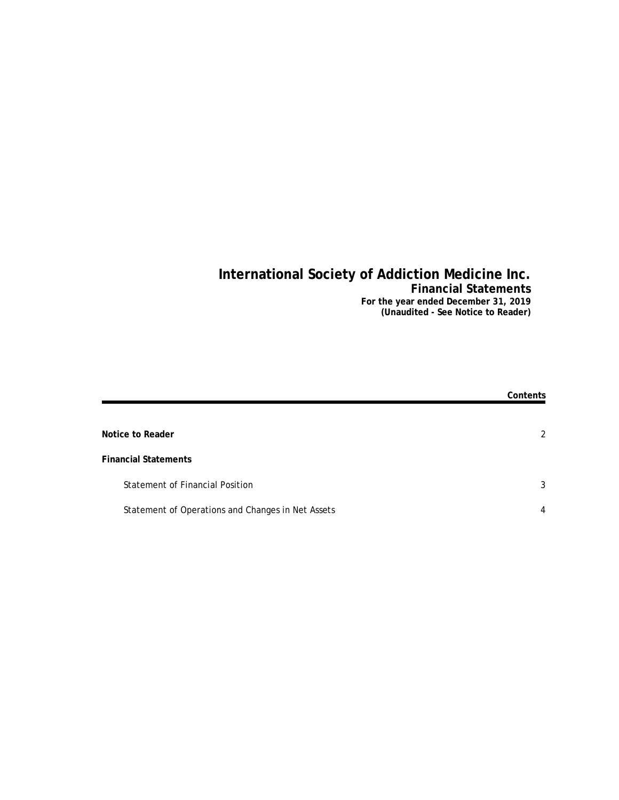## **International Society of Addiction Medicine Inc. Financial Statements For the year ended December 31, 2019**

**(Unaudited - See Notice to Reader)**

|                                                   | Contents       |
|---------------------------------------------------|----------------|
| Notice to Reader                                  | $\mathfrak{D}$ |
| <b>Financial Statements</b>                       |                |
| <b>Statement of Financial Position</b>            | 3              |
| Statement of Operations and Changes in Net Assets | 4              |
|                                                   |                |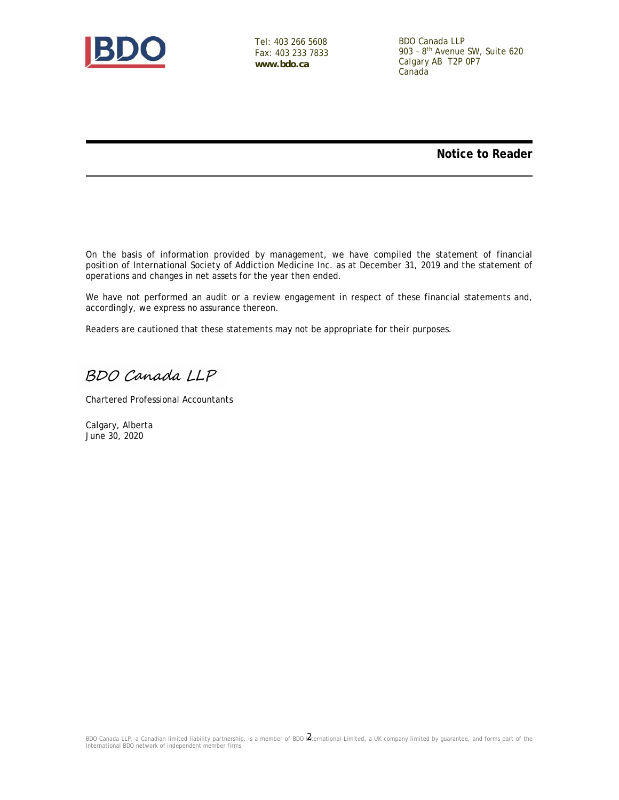

Tel: 403 266 5608 Fax: 403 233 7833 **www.bdo.ca**

BDO Canada LLP 903 – 8th Avenue SW, Suite 620 Calgary AB T2P 0P7 Canada

**Notice to Reader**

On the basis of information provided by management, we have compiled the statement of financial position of International Society of Addiction Medicine Inc. as at December 31, 2019 and the statement of operations and changes in net assets for the year then ended.

We have not performed an audit or a review engagement in respect of these financial statements and, accordingly, we express no assurance thereon.

Readers are cautioned that these statements may not be appropriate for their purposes.

BDO Canada LLP

Chartered Professional Accountants

Calgary, Alberta June 30, 2020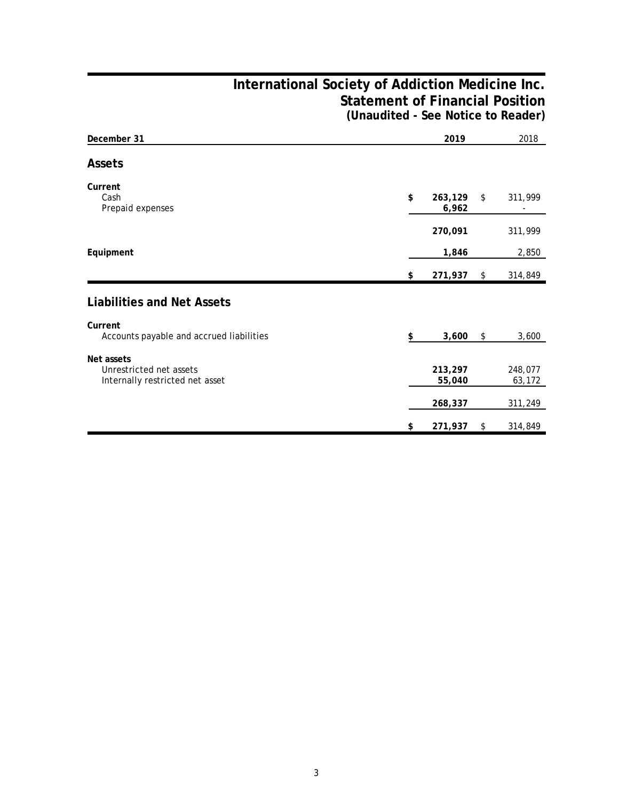## **International Society of Addiction Medicine Inc. Statement of Financial Position (Unaudited - See Notice to Reader)**

| December 31                                                              | 2019                   | 2018              |
|--------------------------------------------------------------------------|------------------------|-------------------|
| Assets                                                                   |                        |                   |
| Current<br>Cash<br>Prepaid expenses                                      | \$<br>263,129<br>6,962 | \$<br>311,999     |
|                                                                          | 270,091                | 311,999           |
| Equipment                                                                | 1,846                  | 2,850             |
|                                                                          | \$<br>271,937          | \$<br>314,849     |
| <b>Liabilities and Net Assets</b>                                        |                        |                   |
| Current<br>Accounts payable and accrued liabilities                      | \$<br>3,600            | \$<br>3,600       |
| Net assets<br>Unrestricted net assets<br>Internally restricted net asset | 213,297<br>55,040      | 248,077<br>63,172 |
|                                                                          | 268,337                | 311,249           |
|                                                                          | \$<br>271,937          | \$<br>314,849     |